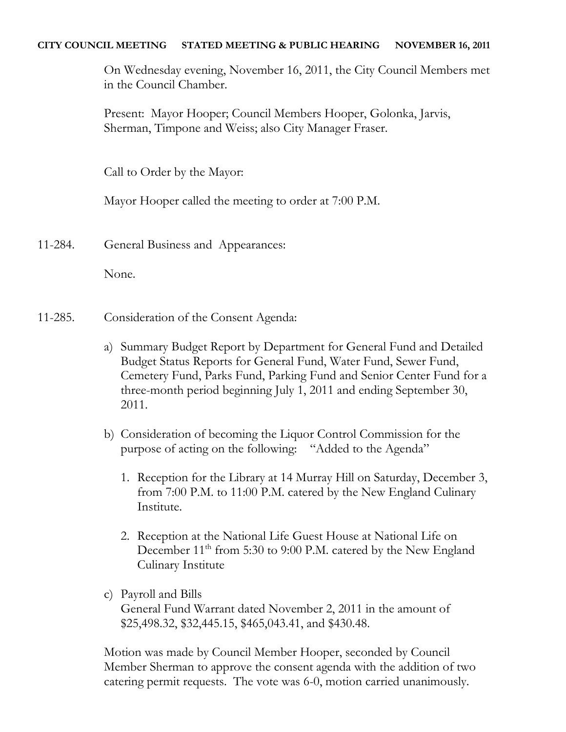## **CITY COUNCIL MEETING STATED MEETING & PUBLIC HEARING NOVEMBER 16, 2011**

On Wednesday evening, November 16, 2011, the City Council Members met in the Council Chamber.

Present: Mayor Hooper; Council Members Hooper, Golonka, Jarvis, Sherman, Timpone and Weiss; also City Manager Fraser.

Call to Order by the Mayor:

Mayor Hooper called the meeting to order at 7:00 P.M.

11-284. General Business and Appearances:

None.

- 11-285. Consideration of the Consent Agenda:
	- a) Summary Budget Report by Department for General Fund and Detailed Budget Status Reports for General Fund, Water Fund, Sewer Fund, Cemetery Fund, Parks Fund, Parking Fund and Senior Center Fund for a three-month period beginning July 1, 2011 and ending September 30, 2011.
	- b) Consideration of becoming the Liquor Control Commission for the purpose of acting on the following: "Added to the Agenda"
		- 1. Reception for the Library at 14 Murray Hill on Saturday, December 3, from 7:00 P.M. to 11:00 P.M. catered by the New England Culinary Institute.
		- 2. Reception at the National Life Guest House at National Life on December 11<sup>th</sup> from 5:30 to 9:00 P.M. catered by the New England Culinary Institute
	- c) Payroll and Bills General Fund Warrant dated November 2, 2011 in the amount of \$25,498.32, \$32,445.15, \$465,043.41, and \$430.48.

Motion was made by Council Member Hooper, seconded by Council Member Sherman to approve the consent agenda with the addition of two catering permit requests. The vote was 6-0, motion carried unanimously.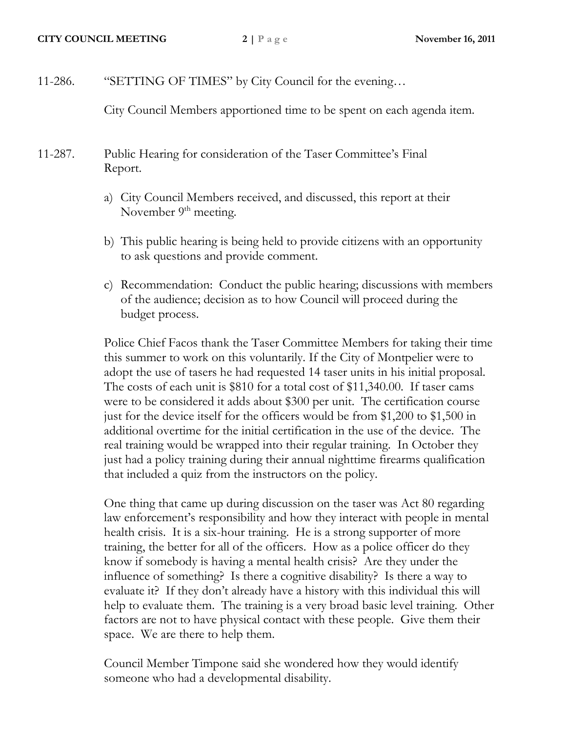11-286. "SETTING OF TIMES" by City Council for the evening…

City Council Members apportioned time to be spent on each agenda item.

- 11-287. Public Hearing for consideration of the Taser Committee's Final Report.
	- a) City Council Members received, and discussed, this report at their November  $9<sup>th</sup>$  meeting.
	- b) This public hearing is being held to provide citizens with an opportunity to ask questions and provide comment.
	- c) Recommendation: Conduct the public hearing; discussions with members of the audience; decision as to how Council will proceed during the budget process.

Police Chief Facos thank the Taser Committee Members for taking their time this summer to work on this voluntarily. If the City of Montpelier were to adopt the use of tasers he had requested 14 taser units in his initial proposal. The costs of each unit is \$810 for a total cost of \$11,340.00. If taser cams were to be considered it adds about \$300 per unit. The certification course just for the device itself for the officers would be from \$1,200 to \$1,500 in additional overtime for the initial certification in the use of the device. The real training would be wrapped into their regular training. In October they just had a policy training during their annual nighttime firearms qualification that included a quiz from the instructors on the policy.

One thing that came up during discussion on the taser was Act 80 regarding law enforcement's responsibility and how they interact with people in mental health crisis. It is a six-hour training. He is a strong supporter of more training, the better for all of the officers. How as a police officer do they know if somebody is having a mental health crisis? Are they under the influence of something? Is there a cognitive disability? Is there a way to evaluate it? If they don't already have a history with this individual this will help to evaluate them. The training is a very broad basic level training. Other factors are not to have physical contact with these people. Give them their space. We are there to help them.

Council Member Timpone said she wondered how they would identify someone who had a developmental disability.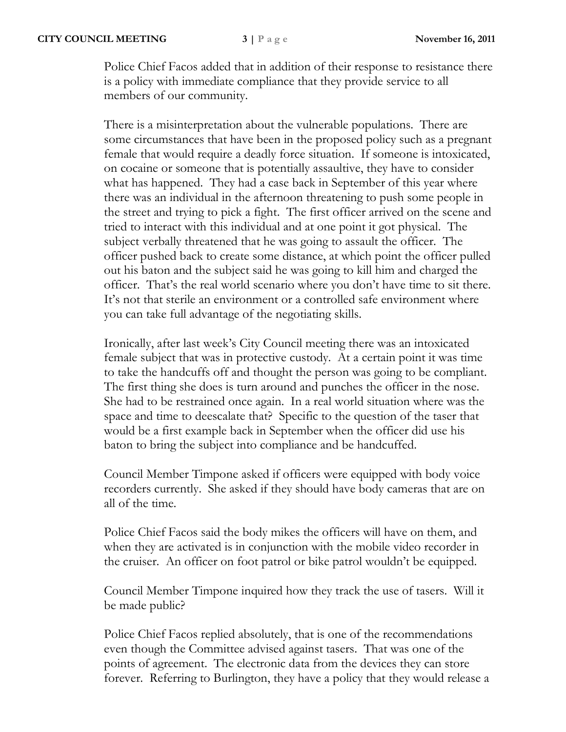Police Chief Facos added that in addition of their response to resistance there is a policy with immediate compliance that they provide service to all members of our community.

There is a misinterpretation about the vulnerable populations. There are some circumstances that have been in the proposed policy such as a pregnant female that would require a deadly force situation. If someone is intoxicated, on cocaine or someone that is potentially assaultive, they have to consider what has happened. They had a case back in September of this year where there was an individual in the afternoon threatening to push some people in the street and trying to pick a fight. The first officer arrived on the scene and tried to interact with this individual and at one point it got physical. The subject verbally threatened that he was going to assault the officer. The officer pushed back to create some distance, at which point the officer pulled out his baton and the subject said he was going to kill him and charged the officer. That's the real world scenario where you don't have time to sit there. It's not that sterile an environment or a controlled safe environment where you can take full advantage of the negotiating skills.

Ironically, after last week's City Council meeting there was an intoxicated female subject that was in protective custody. At a certain point it was time to take the handcuffs off and thought the person was going to be compliant. The first thing she does is turn around and punches the officer in the nose. She had to be restrained once again. In a real world situation where was the space and time to deescalate that? Specific to the question of the taser that would be a first example back in September when the officer did use his baton to bring the subject into compliance and be handcuffed.

Council Member Timpone asked if officers were equipped with body voice recorders currently. She asked if they should have body cameras that are on all of the time.

Police Chief Facos said the body mikes the officers will have on them, and when they are activated is in conjunction with the mobile video recorder in the cruiser. An officer on foot patrol or bike patrol wouldn't be equipped.

Council Member Timpone inquired how they track the use of tasers. Will it be made public?

Police Chief Facos replied absolutely, that is one of the recommendations even though the Committee advised against tasers. That was one of the points of agreement. The electronic data from the devices they can store forever. Referring to Burlington, they have a policy that they would release a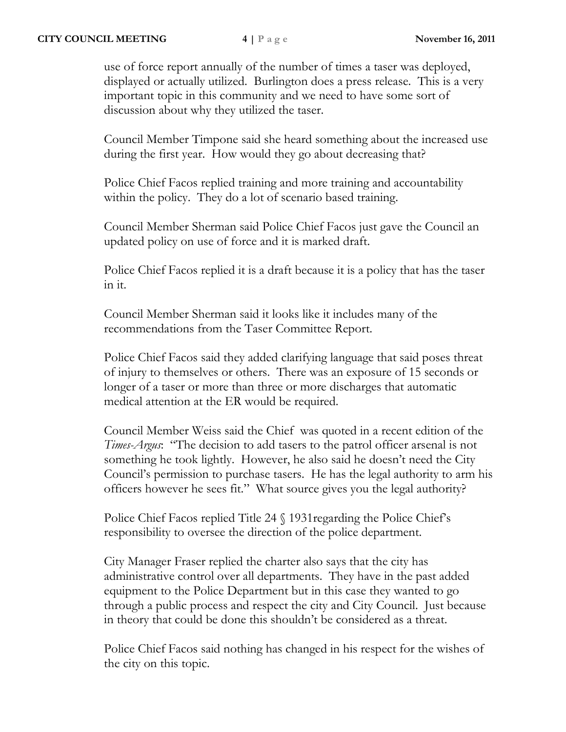use of force report annually of the number of times a taser was deployed, displayed or actually utilized. Burlington does a press release. This is a very important topic in this community and we need to have some sort of discussion about why they utilized the taser.

Council Member Timpone said she heard something about the increased use during the first year. How would they go about decreasing that?

Police Chief Facos replied training and more training and accountability within the policy. They do a lot of scenario based training.

Council Member Sherman said Police Chief Facos just gave the Council an updated policy on use of force and it is marked draft.

Police Chief Facos replied it is a draft because it is a policy that has the taser in it.

Council Member Sherman said it looks like it includes many of the recommendations from the Taser Committee Report.

Police Chief Facos said they added clarifying language that said poses threat of injury to themselves or others. There was an exposure of 15 seconds or longer of a taser or more than three or more discharges that automatic medical attention at the ER would be required.

Council Member Weiss said the Chief was quoted in a recent edition of the *Times-Argus*: "The decision to add tasers to the patrol officer arsenal is not something he took lightly. However, he also said he doesn't need the City Council's permission to purchase tasers. He has the legal authority to arm his officers however he sees fit." What source gives you the legal authority?

Police Chief Facos replied Title 24  $\Diamond$  1931 regarding the Police Chief's responsibility to oversee the direction of the police department.

City Manager Fraser replied the charter also says that the city has administrative control over all departments. They have in the past added equipment to the Police Department but in this case they wanted to go through a public process and respect the city and City Council. Just because in theory that could be done this shouldn't be considered as a threat.

Police Chief Facos said nothing has changed in his respect for the wishes of the city on this topic.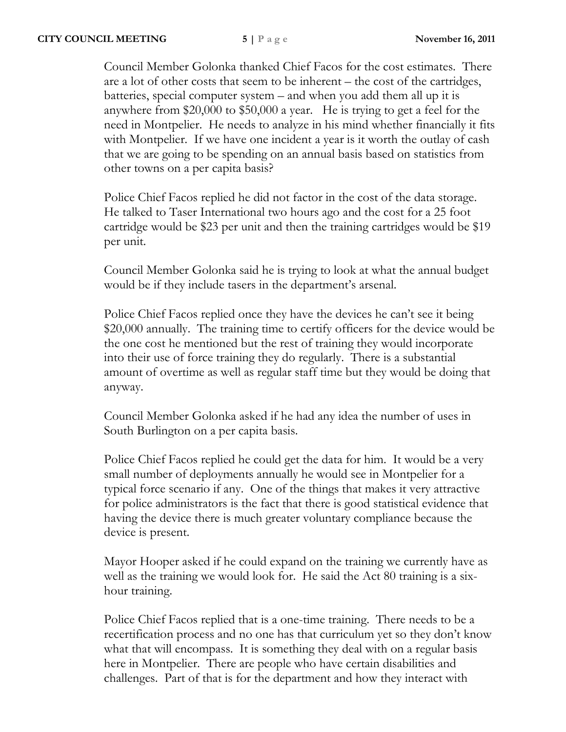Council Member Golonka thanked Chief Facos for the cost estimates. There are a lot of other costs that seem to be inherent – the cost of the cartridges, batteries, special computer system – and when you add them all up it is anywhere from \$20,000 to \$50,000 a year. He is trying to get a feel for the need in Montpelier. He needs to analyze in his mind whether financially it fits with Montpelier. If we have one incident a year is it worth the outlay of cash that we are going to be spending on an annual basis based on statistics from other towns on a per capita basis?

Police Chief Facos replied he did not factor in the cost of the data storage. He talked to Taser International two hours ago and the cost for a 25 foot cartridge would be \$23 per unit and then the training cartridges would be \$19 per unit.

Council Member Golonka said he is trying to look at what the annual budget would be if they include tasers in the department's arsenal.

Police Chief Facos replied once they have the devices he can't see it being \$20,000 annually. The training time to certify officers for the device would be the one cost he mentioned but the rest of training they would incorporate into their use of force training they do regularly. There is a substantial amount of overtime as well as regular staff time but they would be doing that anyway.

Council Member Golonka asked if he had any idea the number of uses in South Burlington on a per capita basis.

Police Chief Facos replied he could get the data for him. It would be a very small number of deployments annually he would see in Montpelier for a typical force scenario if any. One of the things that makes it very attractive for police administrators is the fact that there is good statistical evidence that having the device there is much greater voluntary compliance because the device is present.

Mayor Hooper asked if he could expand on the training we currently have as well as the training we would look for. He said the Act 80 training is a sixhour training.

Police Chief Facos replied that is a one-time training. There needs to be a recertification process and no one has that curriculum yet so they don't know what that will encompass. It is something they deal with on a regular basis here in Montpelier. There are people who have certain disabilities and challenges. Part of that is for the department and how they interact with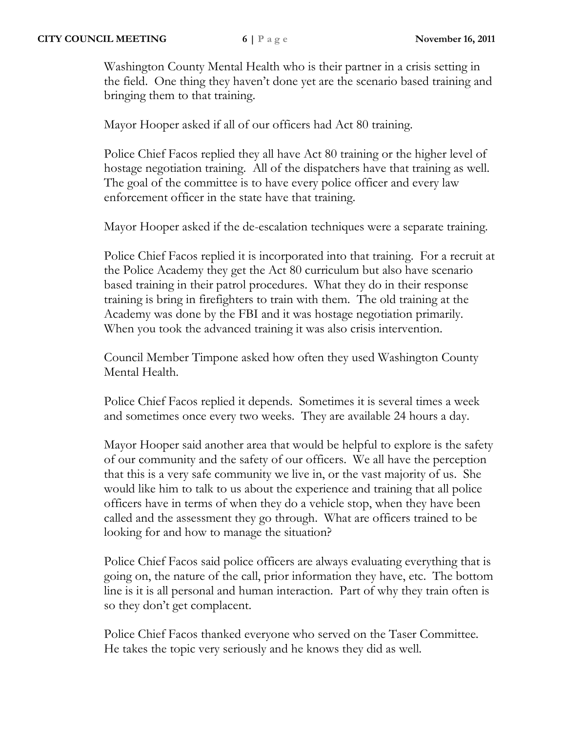Washington County Mental Health who is their partner in a crisis setting in the field. One thing they haven't done yet are the scenario based training and bringing them to that training.

Mayor Hooper asked if all of our officers had Act 80 training.

Police Chief Facos replied they all have Act 80 training or the higher level of hostage negotiation training. All of the dispatchers have that training as well. The goal of the committee is to have every police officer and every law enforcement officer in the state have that training.

Mayor Hooper asked if the de-escalation techniques were a separate training.

Police Chief Facos replied it is incorporated into that training. For a recruit at the Police Academy they get the Act 80 curriculum but also have scenario based training in their patrol procedures. What they do in their response training is bring in firefighters to train with them. The old training at the Academy was done by the FBI and it was hostage negotiation primarily. When you took the advanced training it was also crisis intervention.

Council Member Timpone asked how often they used Washington County Mental Health.

Police Chief Facos replied it depends. Sometimes it is several times a week and sometimes once every two weeks. They are available 24 hours a day.

Mayor Hooper said another area that would be helpful to explore is the safety of our community and the safety of our officers. We all have the perception that this is a very safe community we live in, or the vast majority of us. She would like him to talk to us about the experience and training that all police officers have in terms of when they do a vehicle stop, when they have been called and the assessment they go through. What are officers trained to be looking for and how to manage the situation?

Police Chief Facos said police officers are always evaluating everything that is going on, the nature of the call, prior information they have, etc. The bottom line is it is all personal and human interaction. Part of why they train often is so they don't get complacent.

Police Chief Facos thanked everyone who served on the Taser Committee. He takes the topic very seriously and he knows they did as well.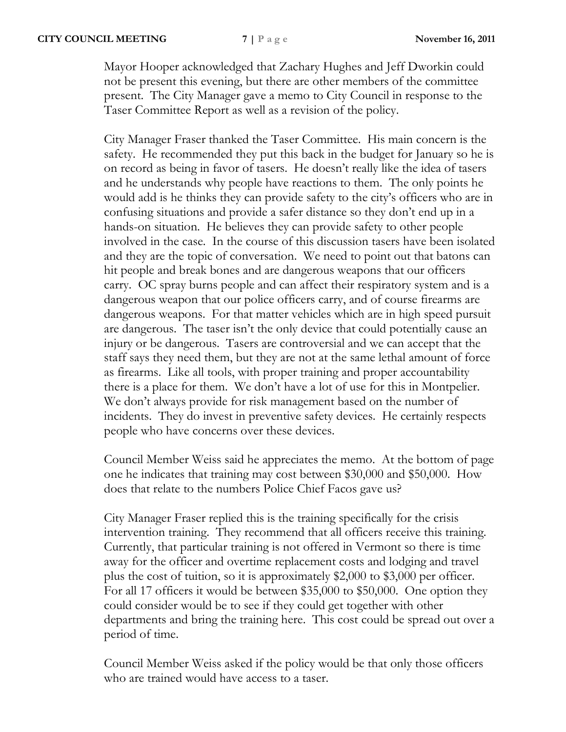Mayor Hooper acknowledged that Zachary Hughes and Jeff Dworkin could not be present this evening, but there are other members of the committee present. The City Manager gave a memo to City Council in response to the Taser Committee Report as well as a revision of the policy.

City Manager Fraser thanked the Taser Committee. His main concern is the safety. He recommended they put this back in the budget for January so he is on record as being in favor of tasers. He doesn't really like the idea of tasers and he understands why people have reactions to them. The only points he would add is he thinks they can provide safety to the city's officers who are in confusing situations and provide a safer distance so they don't end up in a hands-on situation. He believes they can provide safety to other people involved in the case. In the course of this discussion tasers have been isolated and they are the topic of conversation. We need to point out that batons can hit people and break bones and are dangerous weapons that our officers carry. OC spray burns people and can affect their respiratory system and is a dangerous weapon that our police officers carry, and of course firearms are dangerous weapons. For that matter vehicles which are in high speed pursuit are dangerous. The taser isn't the only device that could potentially cause an injury or be dangerous. Tasers are controversial and we can accept that the staff says they need them, but they are not at the same lethal amount of force as firearms. Like all tools, with proper training and proper accountability there is a place for them. We don't have a lot of use for this in Montpelier. We don't always provide for risk management based on the number of incidents. They do invest in preventive safety devices. He certainly respects people who have concerns over these devices.

Council Member Weiss said he appreciates the memo. At the bottom of page one he indicates that training may cost between \$30,000 and \$50,000. How does that relate to the numbers Police Chief Facos gave us?

City Manager Fraser replied this is the training specifically for the crisis intervention training. They recommend that all officers receive this training. Currently, that particular training is not offered in Vermont so there is time away for the officer and overtime replacement costs and lodging and travel plus the cost of tuition, so it is approximately \$2,000 to \$3,000 per officer. For all 17 officers it would be between \$35,000 to \$50,000. One option they could consider would be to see if they could get together with other departments and bring the training here. This cost could be spread out over a period of time.

Council Member Weiss asked if the policy would be that only those officers who are trained would have access to a taser.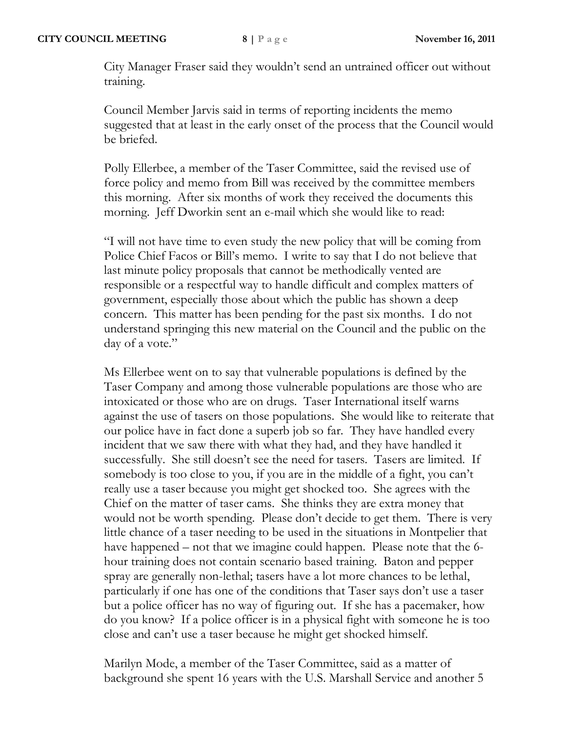City Manager Fraser said they wouldn't send an untrained officer out without training.

Council Member Jarvis said in terms of reporting incidents the memo suggested that at least in the early onset of the process that the Council would be briefed.

Polly Ellerbee, a member of the Taser Committee, said the revised use of force policy and memo from Bill was received by the committee members this morning. After six months of work they received the documents this morning. Jeff Dworkin sent an e-mail which she would like to read:

"I will not have time to even study the new policy that will be coming from Police Chief Facos or Bill's memo. I write to say that I do not believe that last minute policy proposals that cannot be methodically vented are responsible or a respectful way to handle difficult and complex matters of government, especially those about which the public has shown a deep concern. This matter has been pending for the past six months. I do not understand springing this new material on the Council and the public on the day of a vote."

Ms Ellerbee went on to say that vulnerable populations is defined by the Taser Company and among those vulnerable populations are those who are intoxicated or those who are on drugs. Taser International itself warns against the use of tasers on those populations. She would like to reiterate that our police have in fact done a superb job so far. They have handled every incident that we saw there with what they had, and they have handled it successfully. She still doesn't see the need for tasers. Tasers are limited. If somebody is too close to you, if you are in the middle of a fight, you can't really use a taser because you might get shocked too. She agrees with the Chief on the matter of taser cams. She thinks they are extra money that would not be worth spending. Please don't decide to get them. There is very little chance of a taser needing to be used in the situations in Montpelier that have happened – not that we imagine could happen. Please note that the 6 hour training does not contain scenario based training. Baton and pepper spray are generally non-lethal; tasers have a lot more chances to be lethal, particularly if one has one of the conditions that Taser says don't use a taser but a police officer has no way of figuring out. If she has a pacemaker, how do you know? If a police officer is in a physical fight with someone he is too close and can't use a taser because he might get shocked himself.

Marilyn Mode, a member of the Taser Committee, said as a matter of background she spent 16 years with the U.S. Marshall Service and another 5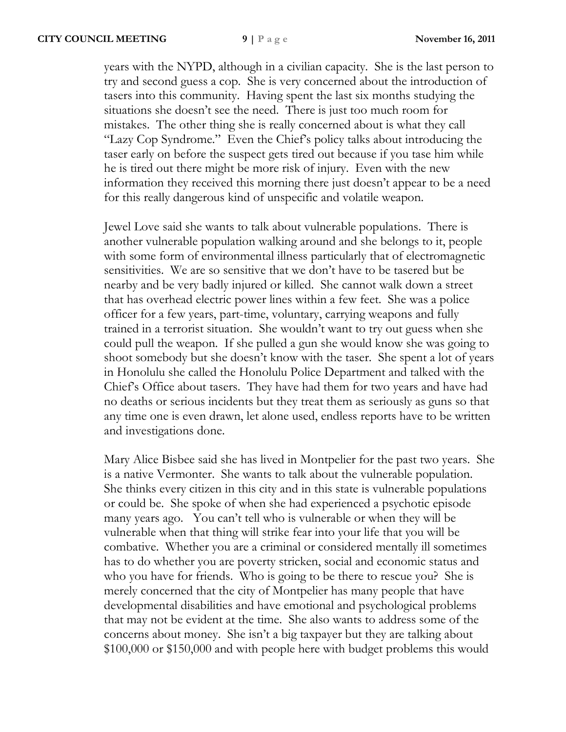years with the NYPD, although in a civilian capacity. She is the last person to try and second guess a cop. She is very concerned about the introduction of tasers into this community. Having spent the last six months studying the situations she doesn't see the need. There is just too much room for mistakes. The other thing she is really concerned about is what they call "Lazy Cop Syndrome." Even the Chief's policy talks about introducing the taser early on before the suspect gets tired out because if you tase him while he is tired out there might be more risk of injury. Even with the new information they received this morning there just doesn't appear to be a need for this really dangerous kind of unspecific and volatile weapon.

Jewel Love said she wants to talk about vulnerable populations. There is another vulnerable population walking around and she belongs to it, people with some form of environmental illness particularly that of electromagnetic sensitivities. We are so sensitive that we don't have to be tasered but be nearby and be very badly injured or killed. She cannot walk down a street that has overhead electric power lines within a few feet. She was a police officer for a few years, part-time, voluntary, carrying weapons and fully trained in a terrorist situation. She wouldn't want to try out guess when she could pull the weapon. If she pulled a gun she would know she was going to shoot somebody but she doesn't know with the taser. She spent a lot of years in Honolulu she called the Honolulu Police Department and talked with the Chief's Office about tasers. They have had them for two years and have had no deaths or serious incidents but they treat them as seriously as guns so that any time one is even drawn, let alone used, endless reports have to be written and investigations done.

Mary Alice Bisbee said she has lived in Montpelier for the past two years. She is a native Vermonter. She wants to talk about the vulnerable population. She thinks every citizen in this city and in this state is vulnerable populations or could be. She spoke of when she had experienced a psychotic episode many years ago. You can't tell who is vulnerable or when they will be vulnerable when that thing will strike fear into your life that you will be combative. Whether you are a criminal or considered mentally ill sometimes has to do whether you are poverty stricken, social and economic status and who you have for friends. Who is going to be there to rescue you? She is merely concerned that the city of Montpelier has many people that have developmental disabilities and have emotional and psychological problems that may not be evident at the time. She also wants to address some of the concerns about money. She isn't a big taxpayer but they are talking about \$100,000 or \$150,000 and with people here with budget problems this would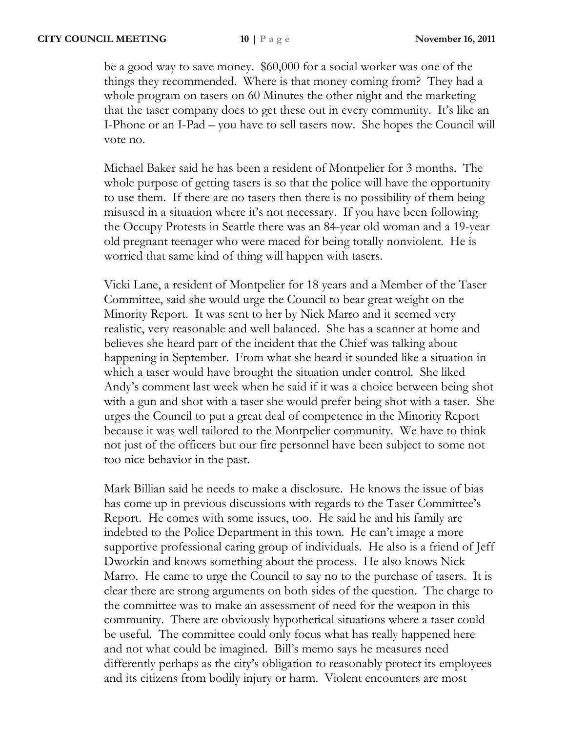be a good way to save money. \$60,000 for a social worker was one of the things they recommended. Where is that money coming from? They had a whole program on tasers on 60 Minutes the other night and the marketing that the taser company does to get these out in every community. It's like an I-Phone or an I-Pad – you have to sell tasers now. She hopes the Council will vote no.

Michael Baker said he has been a resident of Montpelier for 3 months. The whole purpose of getting tasers is so that the police will have the opportunity to use them. If there are no tasers then there is no possibility of them being misused in a situation where it's not necessary. If you have been following the Occupy Protests in Seattle there was an 84-year old woman and a 19-year old pregnant teenager who were maced for being totally nonviolent. He is worried that same kind of thing will happen with tasers.

Vicki Lane, a resident of Montpelier for 18 years and a Member of the Taser Committee, said she would urge the Council to bear great weight on the Minority Report. It was sent to her by Nick Marro and it seemed very realistic, very reasonable and well balanced. She has a scanner at home and believes she heard part of the incident that the Chief was talking about happening in September. From what she heard it sounded like a situation in which a taser would have brought the situation under control. She liked Andy's comment last week when he said if it was a choice between being shot with a gun and shot with a taser she would prefer being shot with a taser. She urges the Council to put a great deal of competence in the Minority Report because it was well tailored to the Montpelier community. We have to think not just of the officers but our fire personnel have been subject to some not too nice behavior in the past.

Mark Billian said he needs to make a disclosure. He knows the issue of bias has come up in previous discussions with regards to the Taser Committee's Report. He comes with some issues, too. He said he and his family are indebted to the Police Department in this town. He can't image a more supportive professional caring group of individuals. He also is a friend of Jeff Dworkin and knows something about the process. He also knows Nick Marro. He came to urge the Council to say no to the purchase of tasers. It is clear there are strong arguments on both sides of the question. The charge to the committee was to make an assessment of need for the weapon in this community. There are obviously hypothetical situations where a taser could be useful. The committee could only focus what has really happened here and not what could be imagined. Bill's memo says he measures need differently perhaps as the city's obligation to reasonably protect its employees and its citizens from bodily injury or harm. Violent encounters are most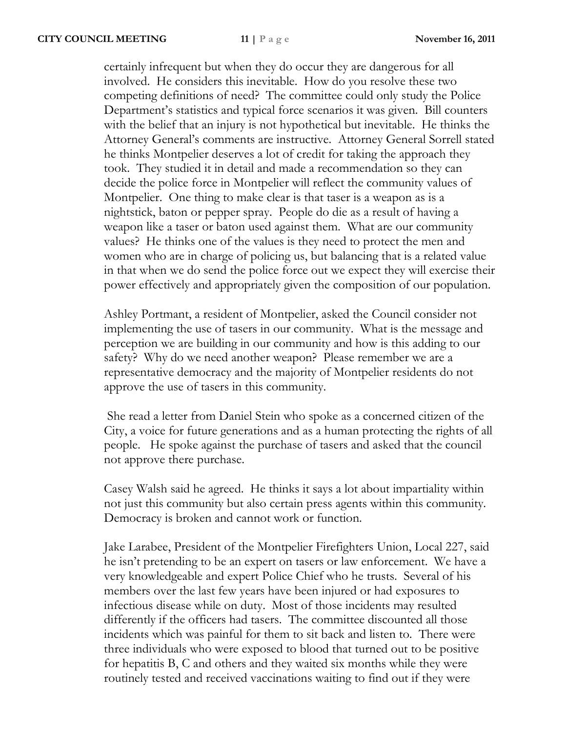certainly infrequent but when they do occur they are dangerous for all involved. He considers this inevitable. How do you resolve these two competing definitions of need? The committee could only study the Police Department's statistics and typical force scenarios it was given. Bill counters with the belief that an injury is not hypothetical but inevitable. He thinks the Attorney General's comments are instructive. Attorney General Sorrell stated he thinks Montpelier deserves a lot of credit for taking the approach they took. They studied it in detail and made a recommendation so they can decide the police force in Montpelier will reflect the community values of Montpelier. One thing to make clear is that taser is a weapon as is a nightstick, baton or pepper spray. People do die as a result of having a weapon like a taser or baton used against them. What are our community values? He thinks one of the values is they need to protect the men and women who are in charge of policing us, but balancing that is a related value in that when we do send the police force out we expect they will exercise their power effectively and appropriately given the composition of our population.

Ashley Portmant, a resident of Montpelier, asked the Council consider not implementing the use of tasers in our community. What is the message and perception we are building in our community and how is this adding to our safety? Why do we need another weapon? Please remember we are a representative democracy and the majority of Montpelier residents do not approve the use of tasers in this community.

She read a letter from Daniel Stein who spoke as a concerned citizen of the City, a voice for future generations and as a human protecting the rights of all people. He spoke against the purchase of tasers and asked that the council not approve there purchase.

Casey Walsh said he agreed. He thinks it says a lot about impartiality within not just this community but also certain press agents within this community. Democracy is broken and cannot work or function.

Jake Larabee, President of the Montpelier Firefighters Union, Local 227, said he isn't pretending to be an expert on tasers or law enforcement. We have a very knowledgeable and expert Police Chief who he trusts. Several of his members over the last few years have been injured or had exposures to infectious disease while on duty. Most of those incidents may resulted differently if the officers had tasers. The committee discounted all those incidents which was painful for them to sit back and listen to. There were three individuals who were exposed to blood that turned out to be positive for hepatitis B, C and others and they waited six months while they were routinely tested and received vaccinations waiting to find out if they were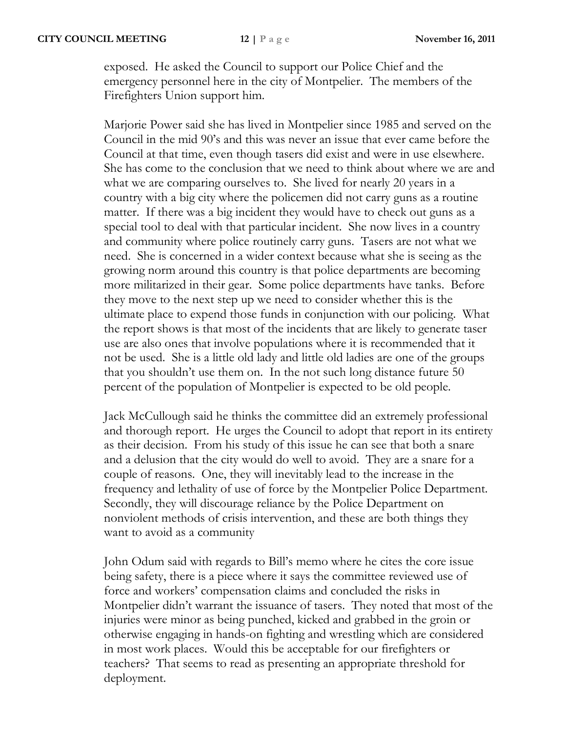exposed. He asked the Council to support our Police Chief and the emergency personnel here in the city of Montpelier. The members of the Firefighters Union support him.

Marjorie Power said she has lived in Montpelier since 1985 and served on the Council in the mid 90's and this was never an issue that ever came before the Council at that time, even though tasers did exist and were in use elsewhere. She has come to the conclusion that we need to think about where we are and what we are comparing ourselves to. She lived for nearly 20 years in a country with a big city where the policemen did not carry guns as a routine matter. If there was a big incident they would have to check out guns as a special tool to deal with that particular incident. She now lives in a country and community where police routinely carry guns. Tasers are not what we need. She is concerned in a wider context because what she is seeing as the growing norm around this country is that police departments are becoming more militarized in their gear. Some police departments have tanks. Before they move to the next step up we need to consider whether this is the ultimate place to expend those funds in conjunction with our policing. What the report shows is that most of the incidents that are likely to generate taser use are also ones that involve populations where it is recommended that it not be used. She is a little old lady and little old ladies are one of the groups that you shouldn't use them on. In the not such long distance future 50 percent of the population of Montpelier is expected to be old people.

Jack McCullough said he thinks the committee did an extremely professional and thorough report. He urges the Council to adopt that report in its entirety as their decision. From his study of this issue he can see that both a snare and a delusion that the city would do well to avoid. They are a snare for a couple of reasons. One, they will inevitably lead to the increase in the frequency and lethality of use of force by the Montpelier Police Department. Secondly, they will discourage reliance by the Police Department on nonviolent methods of crisis intervention, and these are both things they want to avoid as a community

John Odum said with regards to Bill's memo where he cites the core issue being safety, there is a piece where it says the committee reviewed use of force and workers' compensation claims and concluded the risks in Montpelier didn't warrant the issuance of tasers. They noted that most of the injuries were minor as being punched, kicked and grabbed in the groin or otherwise engaging in hands-on fighting and wrestling which are considered in most work places. Would this be acceptable for our firefighters or teachers? That seems to read as presenting an appropriate threshold for deployment.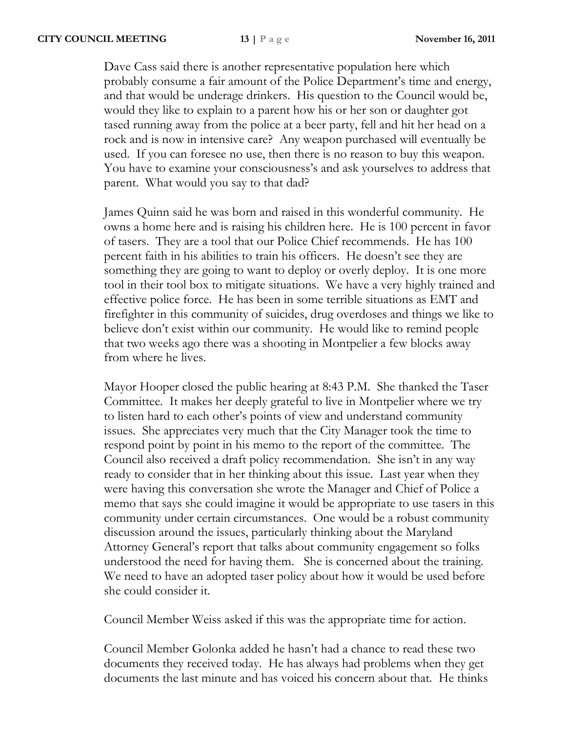Dave Cass said there is another representative population here which probably consume a fair amount of the Police Department's time and energy, and that would be underage drinkers. His question to the Council would be, would they like to explain to a parent how his or her son or daughter got tased running away from the police at a beer party, fell and hit her head on a rock and is now in intensive care? Any weapon purchased will eventually be used. If you can foresee no use, then there is no reason to buy this weapon. You have to examine your consciousness's and ask yourselves to address that parent. What would you say to that dad?

James Quinn said he was born and raised in this wonderful community. He owns a home here and is raising his children here. He is 100 percent in favor of tasers. They are a tool that our Police Chief recommends. He has 100 percent faith in his abilities to train his officers. He doesn't see they are something they are going to want to deploy or overly deploy. It is one more tool in their tool box to mitigate situations. We have a very highly trained and effective police force. He has been in some terrible situations as EMT and firefighter in this community of suicides, drug overdoses and things we like to believe don't exist within our community. He would like to remind people that two weeks ago there was a shooting in Montpelier a few blocks away from where he lives.

Mayor Hooper closed the public hearing at 8:43 P.M. She thanked the Taser Committee. It makes her deeply grateful to live in Montpelier where we try to listen hard to each other's points of view and understand community issues. She appreciates very much that the City Manager took the time to respond point by point in his memo to the report of the committee. The Council also received a draft policy recommendation. She isn't in any way ready to consider that in her thinking about this issue. Last year when they were having this conversation she wrote the Manager and Chief of Police a memo that says she could imagine it would be appropriate to use tasers in this community under certain circumstances. One would be a robust community discussion around the issues, particularly thinking about the Maryland Attorney General's report that talks about community engagement so folks understood the need for having them. She is concerned about the training. We need to have an adopted taser policy about how it would be used before she could consider it.

Council Member Weiss asked if this was the appropriate time for action.

Council Member Golonka added he hasn't had a chance to read these two documents they received today. He has always had problems when they get documents the last minute and has voiced his concern about that. He thinks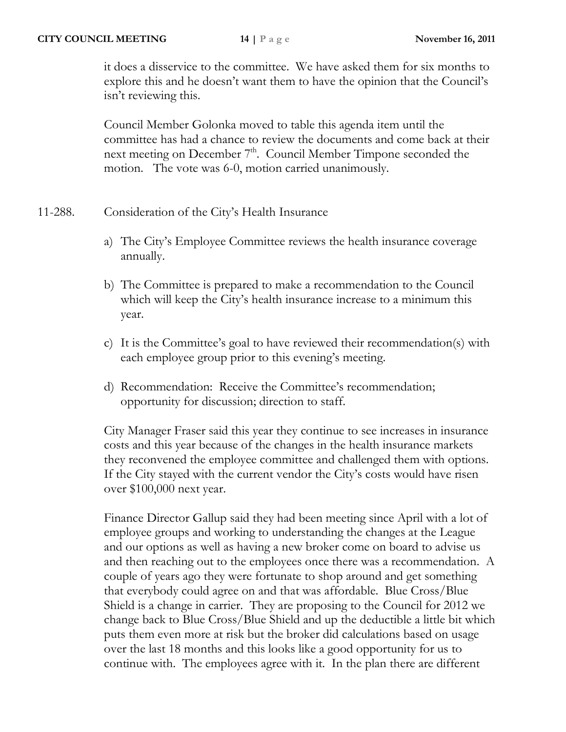it does a disservice to the committee. We have asked them for six months to explore this and he doesn't want them to have the opinion that the Council's isn't reviewing this.

Council Member Golonka moved to table this agenda item until the committee has had a chance to review the documents and come back at their next meeting on December 7<sup>th</sup>. Council Member Timpone seconded the motion. The vote was 6-0, motion carried unanimously.

# 11-288. Consideration of the City's Health Insurance

- a) The City's Employee Committee reviews the health insurance coverage annually.
- b) The Committee is prepared to make a recommendation to the Council which will keep the City's health insurance increase to a minimum this year.
- c) It is the Committee's goal to have reviewed their recommendation(s) with each employee group prior to this evening's meeting.
- d) Recommendation: Receive the Committee's recommendation; opportunity for discussion; direction to staff.

City Manager Fraser said this year they continue to see increases in insurance costs and this year because of the changes in the health insurance markets they reconvened the employee committee and challenged them with options. If the City stayed with the current vendor the City's costs would have risen over \$100,000 next year.

Finance Director Gallup said they had been meeting since April with a lot of employee groups and working to understanding the changes at the League and our options as well as having a new broker come on board to advise us and then reaching out to the employees once there was a recommendation. A couple of years ago they were fortunate to shop around and get something that everybody could agree on and that was affordable. Blue Cross/Blue Shield is a change in carrier. They are proposing to the Council for 2012 we change back to Blue Cross/Blue Shield and up the deductible a little bit which puts them even more at risk but the broker did calculations based on usage over the last 18 months and this looks like a good opportunity for us to continue with. The employees agree with it. In the plan there are different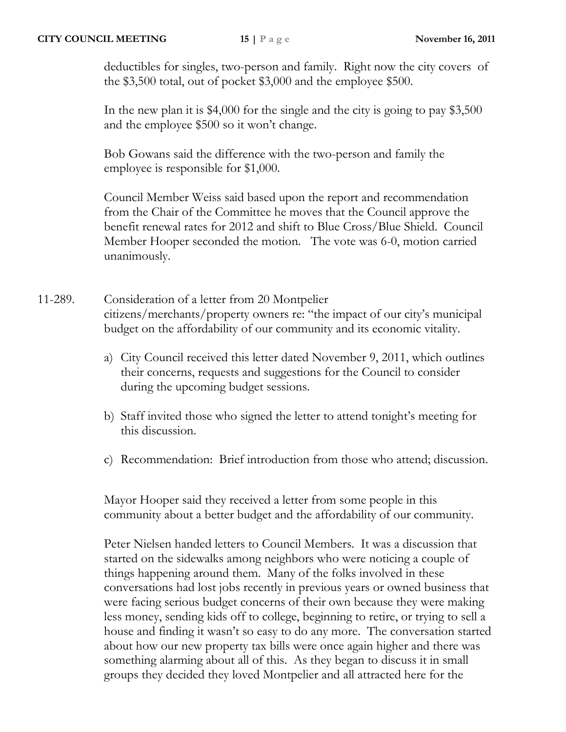deductibles for singles, two-person and family. Right now the city covers of the \$3,500 total, out of pocket \$3,000 and the employee \$500.

In the new plan it is \$4,000 for the single and the city is going to pay \$3,500 and the employee \$500 so it won't change.

Bob Gowans said the difference with the two-person and family the employee is responsible for \$1,000.

Council Member Weiss said based upon the report and recommendation from the Chair of the Committee he moves that the Council approve the benefit renewal rates for 2012 and shift to Blue Cross/Blue Shield. Council Member Hooper seconded the motion. The vote was 6-0, motion carried unanimously.

- 11-289. Consideration of a letter from 20 Montpelier citizens/merchants/property owners re: "the impact of our city's municipal budget on the affordability of our community and its economic vitality.
	- a) City Council received this letter dated November 9, 2011, which outlines their concerns, requests and suggestions for the Council to consider during the upcoming budget sessions.
	- b) Staff invited those who signed the letter to attend tonight's meeting for this discussion.
	- c) Recommendation: Brief introduction from those who attend; discussion.

Mayor Hooper said they received a letter from some people in this community about a better budget and the affordability of our community.

Peter Nielsen handed letters to Council Members. It was a discussion that started on the sidewalks among neighbors who were noticing a couple of things happening around them. Many of the folks involved in these conversations had lost jobs recently in previous years or owned business that were facing serious budget concerns of their own because they were making less money, sending kids off to college, beginning to retire, or trying to sell a house and finding it wasn't so easy to do any more. The conversation started about how our new property tax bills were once again higher and there was something alarming about all of this. As they began to discuss it in small groups they decided they loved Montpelier and all attracted here for the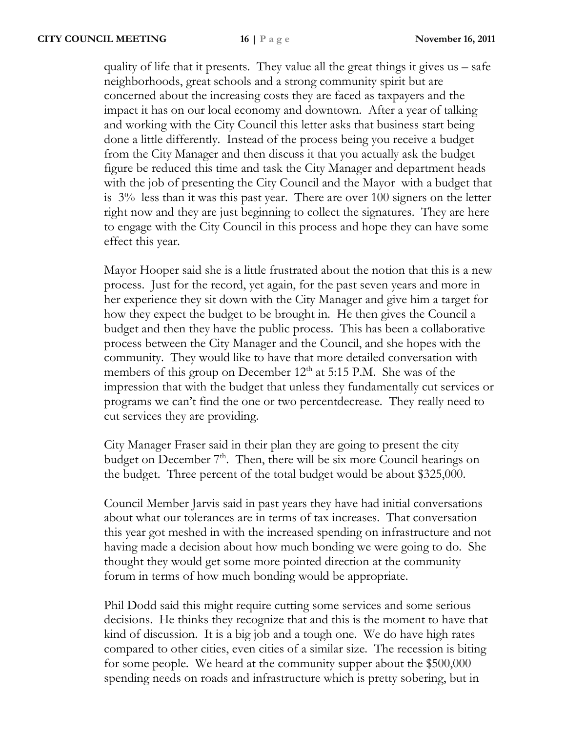quality of life that it presents. They value all the great things it gives  $us - safe$ neighborhoods, great schools and a strong community spirit but are concerned about the increasing costs they are faced as taxpayers and the impact it has on our local economy and downtown. After a year of talking and working with the City Council this letter asks that business start being done a little differently. Instead of the process being you receive a budget from the City Manager and then discuss it that you actually ask the budget figure be reduced this time and task the City Manager and department heads with the job of presenting the City Council and the Mayor with a budget that is 3% less than it was this past year. There are over 100 signers on the letter right now and they are just beginning to collect the signatures. They are here to engage with the City Council in this process and hope they can have some effect this year.

Mayor Hooper said she is a little frustrated about the notion that this is a new process. Just for the record, yet again, for the past seven years and more in her experience they sit down with the City Manager and give him a target for how they expect the budget to be brought in. He then gives the Council a budget and then they have the public process. This has been a collaborative process between the City Manager and the Council, and she hopes with the community. They would like to have that more detailed conversation with members of this group on December  $12<sup>th</sup>$  at 5:15 P.M. She was of the impression that with the budget that unless they fundamentally cut services or programs we can't find the one or two percentdecrease. They really need to cut services they are providing.

City Manager Fraser said in their plan they are going to present the city budget on December  $7<sup>th</sup>$ . Then, there will be six more Council hearings on the budget. Three percent of the total budget would be about \$325,000.

Council Member Jarvis said in past years they have had initial conversations about what our tolerances are in terms of tax increases. That conversation this year got meshed in with the increased spending on infrastructure and not having made a decision about how much bonding we were going to do. She thought they would get some more pointed direction at the community forum in terms of how much bonding would be appropriate.

Phil Dodd said this might require cutting some services and some serious decisions. He thinks they recognize that and this is the moment to have that kind of discussion. It is a big job and a tough one. We do have high rates compared to other cities, even cities of a similar size. The recession is biting for some people. We heard at the community supper about the \$500,000 spending needs on roads and infrastructure which is pretty sobering, but in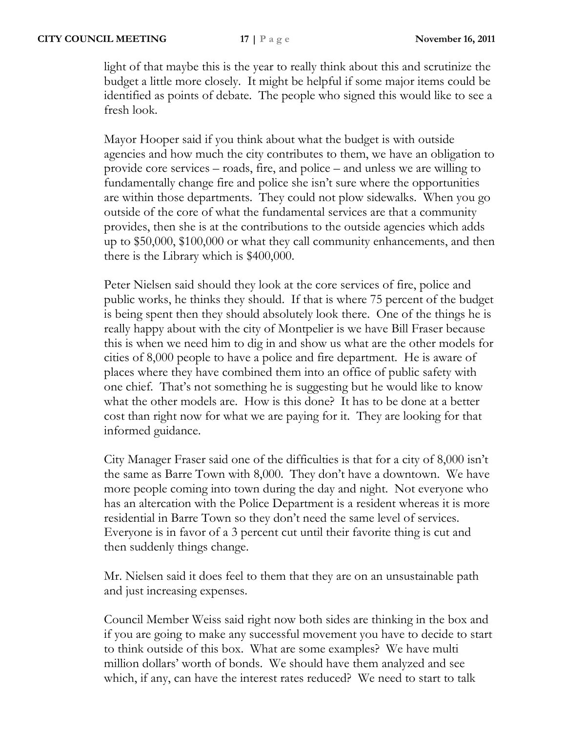light of that maybe this is the year to really think about this and scrutinize the budget a little more closely. It might be helpful if some major items could be identified as points of debate. The people who signed this would like to see a fresh look.

Mayor Hooper said if you think about what the budget is with outside agencies and how much the city contributes to them, we have an obligation to provide core services – roads, fire, and police – and unless we are willing to fundamentally change fire and police she isn't sure where the opportunities are within those departments. They could not plow sidewalks. When you go outside of the core of what the fundamental services are that a community provides, then she is at the contributions to the outside agencies which adds up to \$50,000, \$100,000 or what they call community enhancements, and then there is the Library which is \$400,000.

Peter Nielsen said should they look at the core services of fire, police and public works, he thinks they should. If that is where 75 percent of the budget is being spent then they should absolutely look there. One of the things he is really happy about with the city of Montpelier is we have Bill Fraser because this is when we need him to dig in and show us what are the other models for cities of 8,000 people to have a police and fire department. He is aware of places where they have combined them into an office of public safety with one chief. That's not something he is suggesting but he would like to know what the other models are. How is this done? It has to be done at a better cost than right now for what we are paying for it. They are looking for that informed guidance.

City Manager Fraser said one of the difficulties is that for a city of 8,000 isn't the same as Barre Town with 8,000. They don't have a downtown. We have more people coming into town during the day and night. Not everyone who has an altercation with the Police Department is a resident whereas it is more residential in Barre Town so they don't need the same level of services. Everyone is in favor of a 3 percent cut until their favorite thing is cut and then suddenly things change.

Mr. Nielsen said it does feel to them that they are on an unsustainable path and just increasing expenses.

Council Member Weiss said right now both sides are thinking in the box and if you are going to make any successful movement you have to decide to start to think outside of this box. What are some examples? We have multi million dollars' worth of bonds. We should have them analyzed and see which, if any, can have the interest rates reduced? We need to start to talk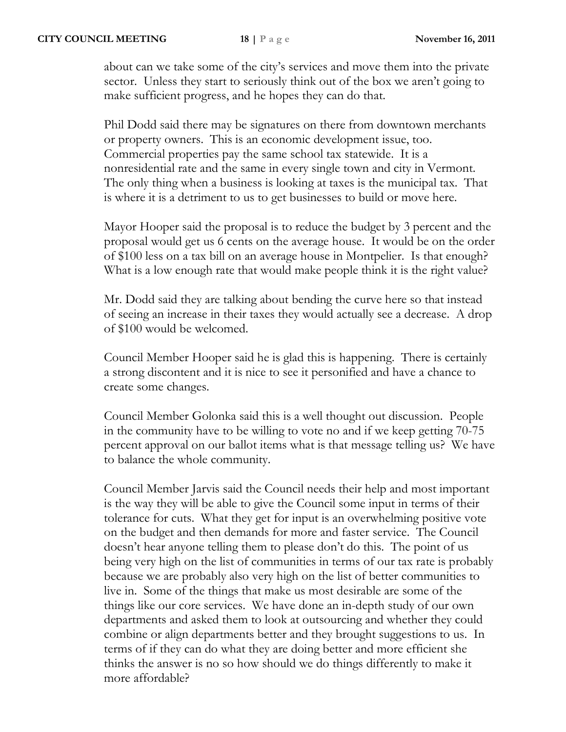about can we take some of the city's services and move them into the private sector. Unless they start to seriously think out of the box we aren't going to make sufficient progress, and he hopes they can do that.

Phil Dodd said there may be signatures on there from downtown merchants or property owners. This is an economic development issue, too. Commercial properties pay the same school tax statewide. It is a nonresidential rate and the same in every single town and city in Vermont. The only thing when a business is looking at taxes is the municipal tax. That is where it is a detriment to us to get businesses to build or move here.

Mayor Hooper said the proposal is to reduce the budget by 3 percent and the proposal would get us 6 cents on the average house. It would be on the order of \$100 less on a tax bill on an average house in Montpelier. Is that enough? What is a low enough rate that would make people think it is the right value?

Mr. Dodd said they are talking about bending the curve here so that instead of seeing an increase in their taxes they would actually see a decrease. A drop of \$100 would be welcomed.

Council Member Hooper said he is glad this is happening. There is certainly a strong discontent and it is nice to see it personified and have a chance to create some changes.

Council Member Golonka said this is a well thought out discussion. People in the community have to be willing to vote no and if we keep getting 70-75 percent approval on our ballot items what is that message telling us? We have to balance the whole community.

Council Member Jarvis said the Council needs their help and most important is the way they will be able to give the Council some input in terms of their tolerance for cuts. What they get for input is an overwhelming positive vote on the budget and then demands for more and faster service. The Council doesn't hear anyone telling them to please don't do this. The point of us being very high on the list of communities in terms of our tax rate is probably because we are probably also very high on the list of better communities to live in. Some of the things that make us most desirable are some of the things like our core services. We have done an in-depth study of our own departments and asked them to look at outsourcing and whether they could combine or align departments better and they brought suggestions to us. In terms of if they can do what they are doing better and more efficient she thinks the answer is no so how should we do things differently to make it more affordable?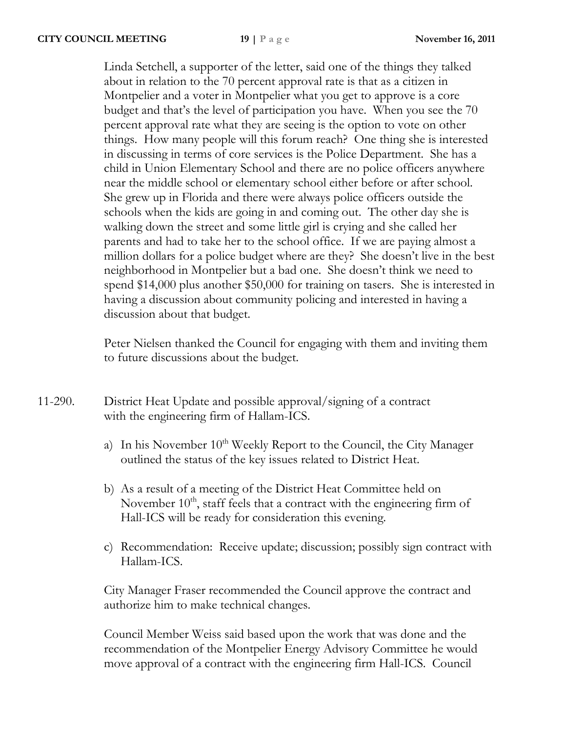Linda Setchell, a supporter of the letter, said one of the things they talked about in relation to the 70 percent approval rate is that as a citizen in Montpelier and a voter in Montpelier what you get to approve is a core budget and that's the level of participation you have. When you see the 70 percent approval rate what they are seeing is the option to vote on other things. How many people will this forum reach? One thing she is interested in discussing in terms of core services is the Police Department. She has a child in Union Elementary School and there are no police officers anywhere near the middle school or elementary school either before or after school. She grew up in Florida and there were always police officers outside the schools when the kids are going in and coming out. The other day she is walking down the street and some little girl is crying and she called her parents and had to take her to the school office. If we are paying almost a million dollars for a police budget where are they? She doesn't live in the best neighborhood in Montpelier but a bad one. She doesn't think we need to spend \$14,000 plus another \$50,000 for training on tasers. She is interested in having a discussion about community policing and interested in having a discussion about that budget.

Peter Nielsen thanked the Council for engaging with them and inviting them to future discussions about the budget.

- 11-290. District Heat Update and possible approval/signing of a contract with the engineering firm of Hallam-ICS.
	- a) In his November  $10^{th}$  Weekly Report to the Council, the City Manager outlined the status of the key issues related to District Heat.
	- b) As a result of a meeting of the District Heat Committee held on November  $10<sup>th</sup>$ , staff feels that a contract with the engineering firm of Hall-ICS will be ready for consideration this evening.
	- c) Recommendation: Receive update; discussion; possibly sign contract with Hallam-ICS.

City Manager Fraser recommended the Council approve the contract and authorize him to make technical changes.

Council Member Weiss said based upon the work that was done and the recommendation of the Montpelier Energy Advisory Committee he would move approval of a contract with the engineering firm Hall-ICS. Council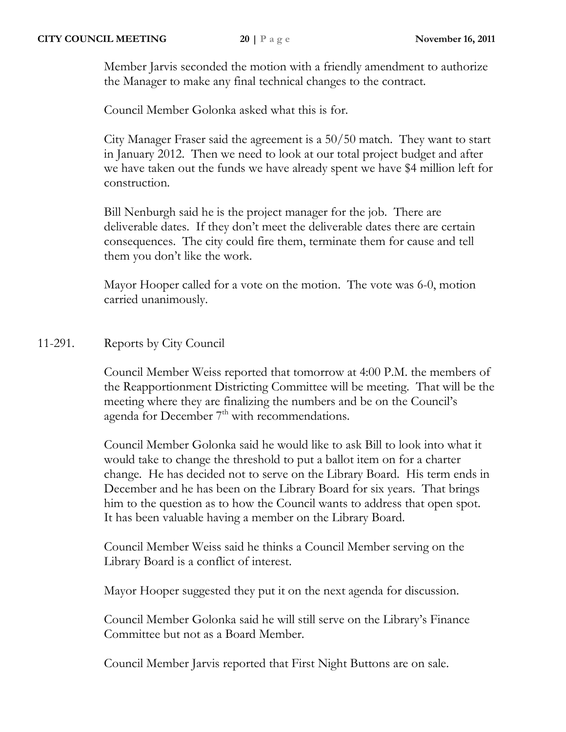Member Jarvis seconded the motion with a friendly amendment to authorize the Manager to make any final technical changes to the contract.

Council Member Golonka asked what this is for.

City Manager Fraser said the agreement is a 50/50 match. They want to start in January 2012. Then we need to look at our total project budget and after we have taken out the funds we have already spent we have \$4 million left for construction.

Bill Nenburgh said he is the project manager for the job. There are deliverable dates. If they don't meet the deliverable dates there are certain consequences. The city could fire them, terminate them for cause and tell them you don't like the work.

Mayor Hooper called for a vote on the motion. The vote was 6-0, motion carried unanimously.

# 11-291. Reports by City Council

Council Member Weiss reported that tomorrow at 4:00 P.M. the members of the Reapportionment Districting Committee will be meeting. That will be the meeting where they are finalizing the numbers and be on the Council's agenda for December 7<sup>th</sup> with recommendations.

Council Member Golonka said he would like to ask Bill to look into what it would take to change the threshold to put a ballot item on for a charter change. He has decided not to serve on the Library Board. His term ends in December and he has been on the Library Board for six years. That brings him to the question as to how the Council wants to address that open spot. It has been valuable having a member on the Library Board.

Council Member Weiss said he thinks a Council Member serving on the Library Board is a conflict of interest.

Mayor Hooper suggested they put it on the next agenda for discussion.

Council Member Golonka said he will still serve on the Library's Finance Committee but not as a Board Member.

Council Member Jarvis reported that First Night Buttons are on sale.